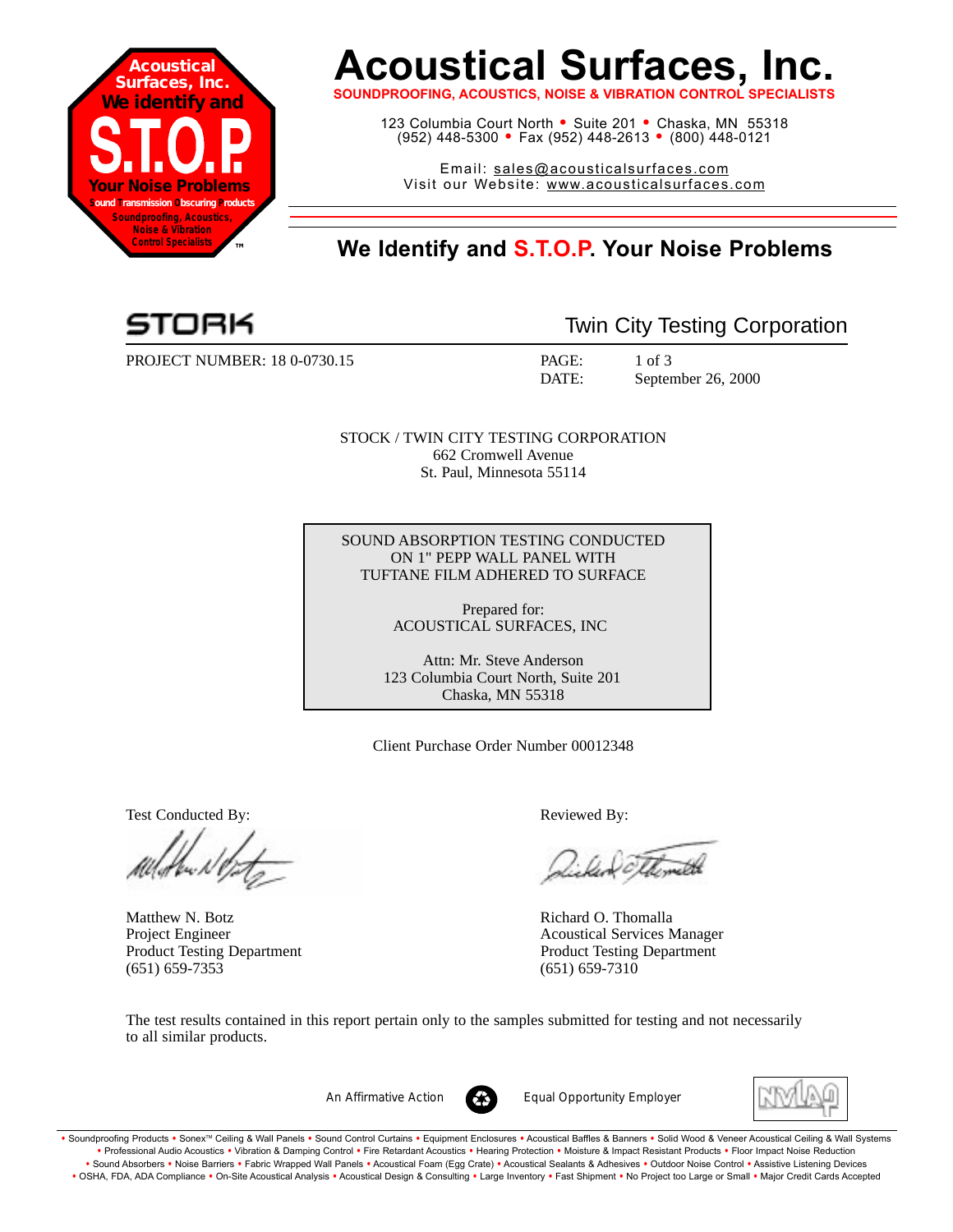

# **Acoustical Surfaces, Inc.**

**SOUNDPROOFING, ACOUSTICS, NOISE & VIBRATION CONTROL SF** 

123 Columbia Court North • Suite 201 • Chaska, MN 55318 (952) 448-5300 <sup>=</sup> Fax (952) 448-2613 <sup>=</sup> (800) 448-0121

Email: sales@acousticalsurfaces.com Visit our Website: www.acousticalsurfaces.com

## **™ We Identify and S.T.O.P. Your Noise Problems**

PROJECT NUMBER: 18 0-0730.15 PAGE: 1 of 3

Twin City Testing Corporation

DATE: September 26, 2000

STOCK / TWIN CITY TESTING CORPORATION 662 Cromwell Avenue St. Paul, Minnesota 55114

SOUND ABSORPTION TESTING CONDUCTED ON 1" PEPP WALL PANEL WITH TUFTANE FILM ADHERED TO SURFACE

> Prepared for: ACOUSTICAL SURFACES, INC

Attn: Mr. Steve Anderson 123 Columbia Court North, Suite 201 Chaska, MN 55318

Client Purchase Order Number 00012348

Test Conducted By: **Reviewed By:** Reviewed By:

Matthew N. Botz **Richard O. Thomalla** (651) 659-7353 (651) 659-7310

Williameth

Project Engineer Acoustical Services Manager Product Testing Department Product Testing Department

The test results contained in this report pertain only to the samples submitted for testing and not necessarily to all similar products.



*An Affirmative Action Equal Opportunity Employer*



. Soundproofing Products . Sonex™ Ceiling & Wall Panels . Sound Control Curtains . Equipment Enclosures . Acoustical Baffles & Banners . Solid Wood & Veneer Acoustical Ceiling & Wall Systems **•** Professional Audio Acoustics **•** Vibration & Damping Control **•** Fire Retardant Acoustics **•** Hearing Protection **•** Moisture & Impact Resistant Products **•** Floor Impact Noise Reduction Sound Absorbers • Noise Barriers • Fabric Wrapped Wall Panels • Acoustical Foam (Egg Crate) • Acoustical Sealants & Adhesives • Outdoor Noise Control • Assistive Listening Devices . OSHA, FDA, ADA Compliance . On-Site Acoustical Analysis . Acoustical Design & Consulting . Large Inventory . Fast Shipment . No Project too Large or Small . Major Credit Cards Accepted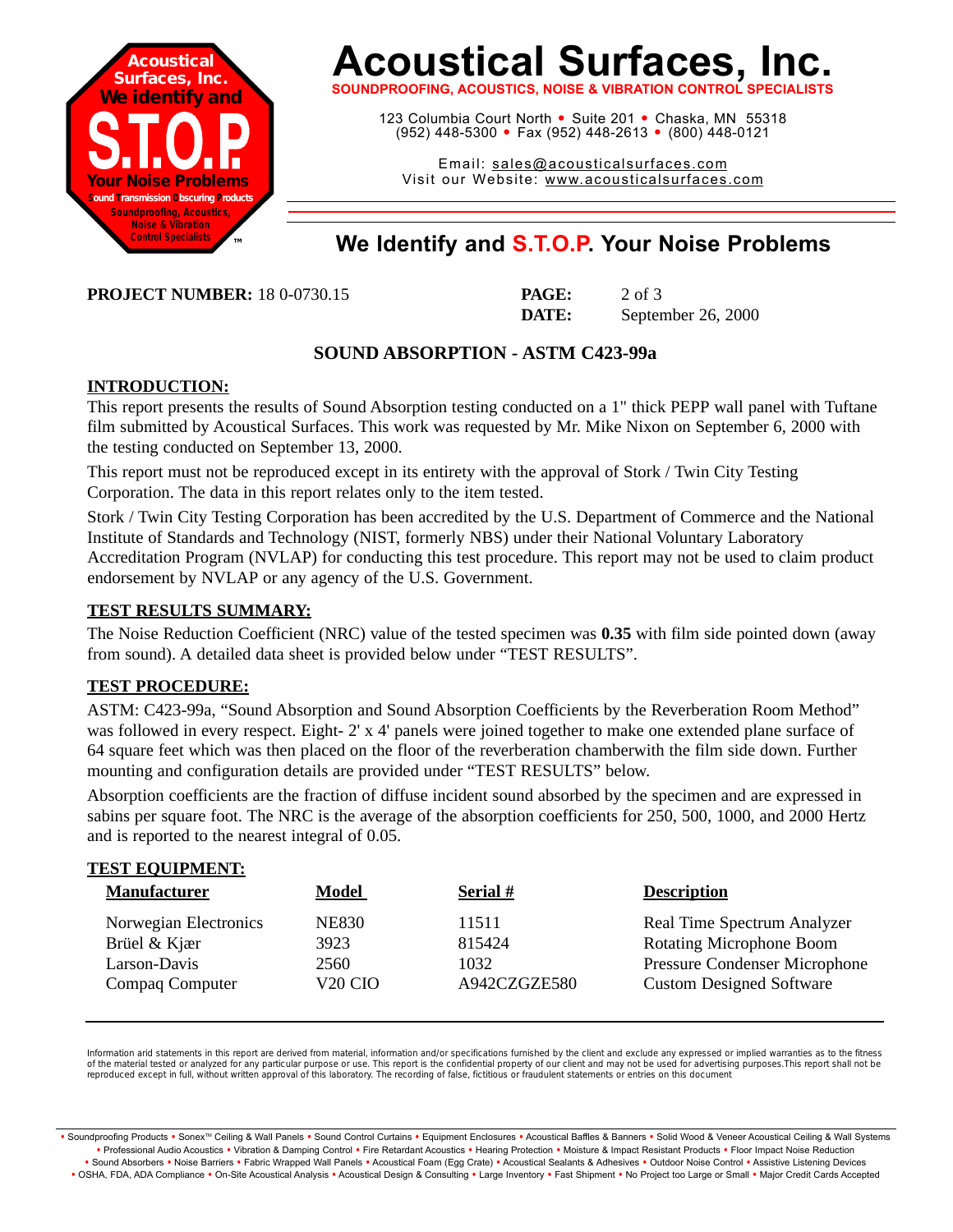

# **Acoustical Surfaces, Inc.**

**SOUNDPROOFING, ACOUSTICS, NOISE & VIBRATION CONTROL SPECIALISTS**

123 Columbia Court North · Suite 201 · Chaska, MN 55318 (952) 448-5300 <sup>=</sup> Fax (952) 448-2613 <sup>=</sup> (800) 448-0121

Email: sales@acousticalsurfaces.com Visit our Website: www.acousticalsurfaces.com

## **™ We Identify and S.T.O.P. Your Noise Problems**

**PROJECT NUMBER:** 18 0-0730.15 **PAGE:** 2 of 3

**DATE:** September 26, 2000

### **SOUND ABSORPTION - ASTM C423-99a**

### **INTRODUCTION:**

This report presents the results of Sound Absorption testing conducted on a 1" thick PEPP wall panel with Tuftane film submitted by Acoustical Surfaces. This work was requested by Mr. Mike Nixon on September 6, 2000 with the testing conducted on September 13, 2000.

This report must not be reproduced except in its entirety with the approval of Stork / Twin City Testing Corporation. The data in this report relates only to the item tested.

Stork / Twin City Testing Corporation has been accredited by the U.S. Department of Commerce and the National Institute of Standards and Technology (NIST, formerly NBS) under their National Voluntary Laboratory Accreditation Program (NVLAP) for conducting this test procedure. This report may not be used to claim product endorsement by NVLAP or any agency of the U.S. Government.

### **TEST RESULTS SUMMARY:**

The Noise Reduction Coefficient (NRC) value of the tested specimen was **0.35** with film side pointed down (away from sound). A detailed data sheet is provided below under "TEST RESULTS".

#### **TEST PROCEDURE:**

**TEST EQUIPMENT:**

ASTM: C423-99a, "Sound Absorption and Sound Absorption Coefficients by the Reverberation Room Method" was followed in every respect. Eight- 2' x 4' panels were joined together to make one extended plane surface of 64 square feet which was then placed on the floor of the reverberation chamberwith the film side down. Further mounting and configuration details are provided under "TEST RESULTS" below.

Absorption coefficients are the fraction of diffuse incident sound absorbed by the specimen and are expressed in sabins per square foot. The NRC is the average of the absorption coefficients for 250, 500, 1000, and 2000 Hertz and is reported to the nearest integral of 0.05.

| <u>ILOI LUUIFMENI.</u><br><b>Manufacturer</b> | <b>Model</b>        | <b>Serial</b> # | <b>Description</b>              |
|-----------------------------------------------|---------------------|-----------------|---------------------------------|
| Norwegian Electronics                         | <b>NE830</b>        | 11511           | Real Time Spectrum Analyzer     |
| Brüel & Kjær                                  | 3923                | 815424          | <b>Rotating Microphone Boom</b> |
| Larson-Davis                                  | 2560                | 1032            | Pressure Condenser Microphone   |
| Compaq Computer                               | V <sub>20</sub> CIO | A942CZGZE580    | <b>Custom Designed Software</b> |

Information arid statements in this report are derived from material, information and/or specifications furnished by the client and exclude any expressed or implied warranties as to the fitness of the material tested or analyzed for any particular purpose or use. This report is the confidential property of our client and may not be used for advertising purposes.This report shall not be reproduced except in full, without written approval of this laboratory. The recording of false, fictitious or fraudulent statements or entries on this document

· Soundproofing Products · Sonex™ Ceiling & Wall Panels · Sound Control Curtains · Equipment Enclosures · Acoustical Baffles & Banners · Solid Wood & Veneer Acoustical Ceiling & Wall Systems **•** Professional Audio Acoustics **•** Vibration & Damping Control **•** Fire Retardant Acoustics **•** Hearing Protection **•** Moisture & Impact Resistant Products **•** Floor Impact Noise Reduction Sound Absorbers • Noise Barriers • Fabric Wrapped Wall Panels • Acoustical Foam (Egg Crate) • Acoustical Sealants & Adhesives • Outdoor Noise Control • Assistive Listening Devices . OSHA, FDA, ADA Compliance . On-Site Acoustical Analysis . Acoustical Design & Consulting . Large Inventory . Fast Shipment . No Project too Large or Small . Major Credit Cards Accepted